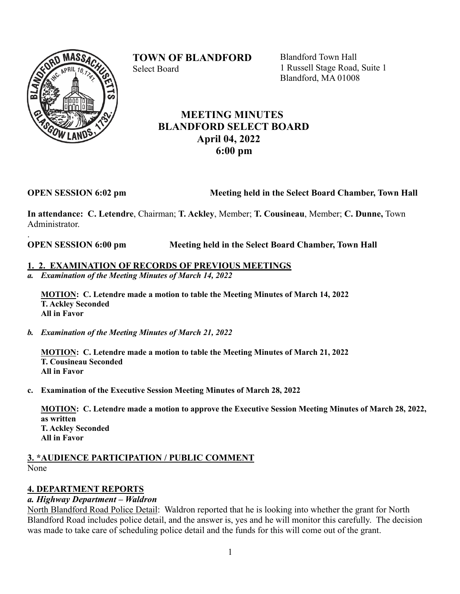# **TOWN OF BLANDFORD**



Select Board

Blandford Town Hall 1 Russell Stage Road, Suite 1 Blandford, MA 01008

## **MEETING MINUTES BLANDFORD SELECT BOARD April 04, 2022 6:00 pm**

.

### **OPEN SESSION 6:02 pm** Meeting held in the Select Board Chamber, Town Hall

**In attendance: C. Letendre**, Chairman; **T. Ackley**, Member; **T. Cousineau**, Member; **C. Dunne,** Town Administrator.

**OPEN SESSION 6:00 pm Meeting held in the Select Board Chamber, Town Hall**

### **1. 2. EXAMINATION OF RECORDS OF PREVIOUS MEETINGS**

*a. Examination of the Meeting Minutes of March 14, 2022*

**MOTION: C. Letendre made a motion to table the Meeting Minutes of March 14, 2022 T. Ackley Seconded All in Favor**

*b. Examination of the Meeting Minutes of March 21, 2022*

**MOTION: C. Letendre made a motion to table the Meeting Minutes of March 21, 2022 T. Cousineau Seconded All in Favor**

**c. Examination of the Executive Session Meeting Minutes of March 28, 2022**

**MOTION: C. Letendre made a motion to approve the Executive Session Meeting Minutes of March 28, 2022, as written T. Ackley Seconded All in Favor**

### **3. \*AUDIENCE PARTICIPATION / PUBLIC COMMENT** None

## **4. DEPARTMENT REPORTS**

## *a. Highway Department – Waldron*

North Blandford Road Police Detail: Waldron reported that he is looking into whether the grant for North Blandford Road includes police detail, and the answer is, yes and he will monitor this carefully. The decision was made to take care of scheduling police detail and the funds for this will come out of the grant.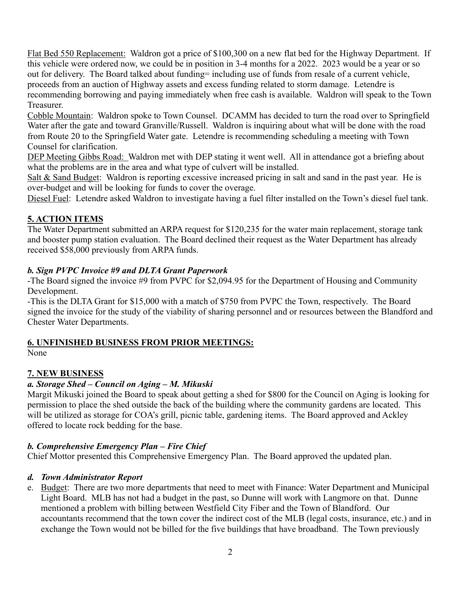Flat Bed 550 Replacement: Waldron got a price of \$100,300 on a new flat bed for the Highway Department. If this vehicle were ordered now, we could be in position in 3-4 months for a 2022. 2023 would be a year or so out for delivery. The Board talked about funding= including use of funds from resale of a current vehicle, proceeds from an auction of Highway assets and excess funding related to storm damage. Letendre is recommending borrowing and paying immediately when free cash is available. Waldron will speak to the Town Treasurer.

Cobble Mountain: Waldron spoke to Town Counsel. DCAMM has decided to turn the road over to Springfield Water after the gate and toward Granville/Russell. Waldron is inquiring about what will be done with the road from Route 20 to the Springfield Water gate. Letendre is recommending scheduling a meeting with Town Counsel for clarification.

DEP Meeting Gibbs Road: Waldron met with DEP stating it went well. All in attendance got a briefing about what the problems are in the area and what type of culvert will be installed.

Salt & Sand Budget: Waldron is reporting excessive increased pricing in salt and sand in the past year. He is over-budget and will be looking for funds to cover the overage.

Diesel Fuel: Letendre asked Waldron to investigate having a fuel filter installed on the Town's diesel fuel tank.

## **5. ACTION ITEMS**

The Water Department submitted an ARPA request for \$120,235 for the water main replacement, storage tank and booster pump station evaluation. The Board declined their request as the Water Department has already received \$58,000 previously from ARPA funds.

## *b. Sign PVPC Invoice #9 and DLTA Grant Paperwork*

-The Board signed the invoice #9 from PVPC for \$2,094.95 for the Department of Housing and Community Development.

-This is the DLTA Grant for \$15,000 with a match of \$750 from PVPC the Town, respectively. The Board signed the invoice for the study of the viability of sharing personnel and or resources between the Blandford and Chester Water Departments.

### **6. UNFINISHED BUSINESS FROM PRIOR MEETINGS:**

None

## **7. NEW BUSINESS**

## *a. Storage Shed – Council on Aging – M. Mikuski*

Margit Mikuski joined the Board to speak about getting a shed for \$800 for the Council on Aging is looking for permission to place the shed outside the back of the building where the community gardens are located. This will be utilized as storage for COA's grill, picnic table, gardening items. The Board approved and Ackley offered to locate rock bedding for the base.

### *b. Comprehensive Emergency Plan – Fire Chief*

Chief Mottor presented this Comprehensive Emergency Plan. The Board approved the updated plan.

### *d. Town Administrator Report*

e. Budget: There are two more departments that need to meet with Finance: Water Department and Municipal Light Board. MLB has not had a budget in the past, so Dunne will work with Langmore on that. Dunne mentioned a problem with billing between Westfield City Fiber and the Town of Blandford. Our accountants recommend that the town cover the indirect cost of the MLB (legal costs, insurance, etc.) and in exchange the Town would not be billed for the five buildings that have broadband. The Town previously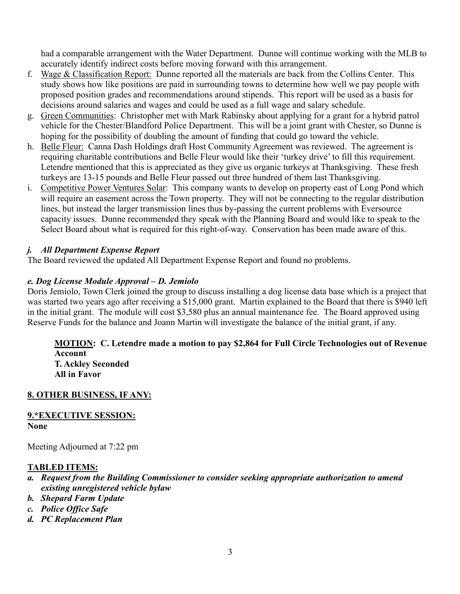had a comparable arrangement with the Water Department. Dunne will continue working with the MLB to accurately identify indirect costs before moving forward with this arrangement.

- f. Wage & Classification Report: Dunne reported all the materials are back from the Collins Center. This study shows how like positions are paid in surrounding towns to determine how well we pay people with proposed position grades and recommendations around stipends. This report will be used as a basis for decisions around salaries and wages and could be used as a full wage and salary schedule.
- g. Green Communities: Christopher met with Mark Rabinsky about applying for a grant for a hybrid patrol vehicle for the Chester/Blandford Police Department. This will be a joint grant with Chester, so Dunne is hoping for the possibility of doubling the amount of funding that could go toward the vehicle.
- h. Belle Fleur: Canna Dash Holdings draft Host Community Agreement was reviewed. The agreement is requiring charitable contributions and Belle Fleur would like their 'turkey drive' to fill this requirement. Letendre mentioned that this is appreciated as they give us organic turkeys at Thanksgiving. These fresh turkeys are 13-15 pounds and Belle Fleur passed out three hundred of them last Thanksgiving.
- i. Competitive Power Ventures Solar: This company wants to develop on property east of Long Pond which will require an easement across the Town property. They will not be connecting to the regular distribution lines, but instead the larger transmission lines thus by-passing the current problems with Eversource capacity issues. Dunne recommended they speak with the Planning Board and would like to speak to the Select Board about what is required for this right-of-way. Conservation has been made aware of this.

## *j. All Department Expense Report*

The Board reviewed the updated All Department Expense Report and found no problems.

### *e. Dog License Module Approval – D. Jemiolo*

Doris Jemiolo, Town Clerk joined the group to discuss installing a dog license data base which is a project that was started two years ago after receiving a \$15,000 grant. Martin explained to the Board that there is \$940 left in the initial grant. The module will cost \$3,580 plus an annual maintenance fee. The Board approved using Reserve Funds for the balance and Joann Martin will investigate the balance of the initial grant, if any.

#### **MOTION: C. Letendre made a motion to pay \$2,864 for Full Circle Technologies out of Revenue Account T. Ackley Seconded**

**All in Favor**

## **8. OTHER BUSINESS, IF ANY:**

#### **9.\*EXECUTIVE SESSION: None**

Meeting Adjourned at 7:22 pm

### **TABLED ITEMS:**

- *a. Request from the Building Commissioner to consider seeking appropriate authorization to amend existing unregistered vehicle bylaw*
- *b. Shepard Farm Update*
- *c. Police Office Safe*
- *d. PC Replacement Plan*